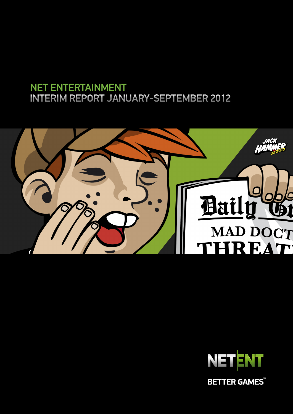# NET ENTERTAINMENT INTERIM REPORT JANUARY-SEPTEMBER 2012





**BETTER GAMES**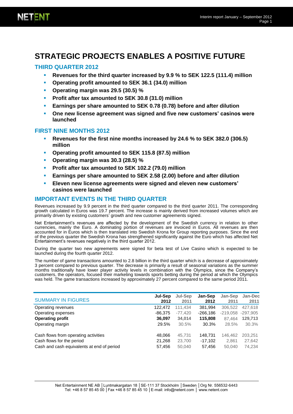# **STRATEGIC PROJECTS ENABLES A POSITIVE FUTURE**

# **THIRD QUARTER 2012**

- **Revenues for the third quarter increased by 9.9 % to SEK 122.5 (111.4) million**
- **Operating profit amounted to SEK 36.1 (34.0) million**
- **Operating margin was 29.5 (30.5) %**
- **Profit after tax amounted to SEK 30.8 (31.0) million**
- **Earnings per share amounted to SEK 0.78 (0.78) before and after dilution**
- **One new license agreement was signed and five new customers' casinos were launched**

#### **FIRST NINE MONTHS 2012**

- **Revenues for the first nine months increased by 24.6 % to SEK 382.0 (306.5) million**
- **Operating profit amounted to SEK 115.8 (87.5) million**
- **Operating margin was 30.3 (28.5) %**
- **Profit after tax amounted to SEK 102.2 (79.0) million**
- **Earnings per share amounted to SEK 2.58 (2.00) before and after dilution**
- **Eleven new license agreements were signed and eleven new customers' casinos were launched**

# **IMPORTANT EVENTS IN THE THIRD QUARTER**

Revenues increased by 9.9 percent in the third quarter compared to the third quarter 2011. The corresponding growth calculated in Euros was 19.7 percent. The increase is mainly derived from increased volumes which are primarily driven by existing customers' growth and new customer agreements signed.

Net Entertainment's revenues are affected by the development of the Swedish currency in relation to other currencies, mainly the Euro. A dominating portion of revenues are invoiced in Euros. All revenues are then accounted for in Euros which is then translated into Swedish Krona for Group reporting purposes. Since the end of the previous quarter the Swedish Krona has strengthened significantly against the Euro which has affected Net Entertainment's revenues negatively in the third quarter 2012.

During the quarter two new agreements were signed for beta test of Live Casino which is expected to be launched during the fourth quarter 2012.

The number of game transactions amounted to 2.8 billion in the third quarter which is a decrease of approximately 3 percent compared to previous quarter. The decrease is primarily a result of seasonal variations as the summer months traditionally have lower player activity levels in combination with the Olympics, since the Company's customers, the operators, focused their marketing towards sports betting during the period at which the Olympics was held. The game transactions increased by approximately 27 percent compared to the same period 2011.

| Jan-Sep<br>Jan-Sep       | Jan-Dec                                                               |
|--------------------------|-----------------------------------------------------------------------|
| 2012<br>2011             | 2011                                                                  |
| 381,994<br>306,522       | 427,618                                                               |
| $-219.058$<br>$-266.186$ | $-297.905$                                                            |
| 115,808<br>87.464        | 129,713                                                               |
|                          | 30.3%                                                                 |
|                          | 203.251                                                               |
| 2.861                    | 27,642                                                                |
|                          | 74,234                                                                |
|                          | 30.3%<br>28.5%<br>148,731<br>146.462<br>$-17.102$<br>50,040<br>57,456 |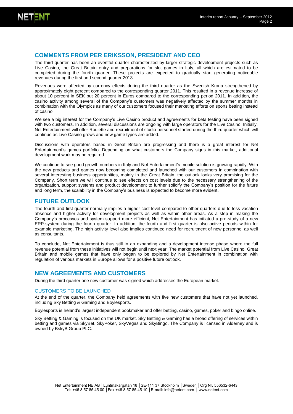# **COMMENTS FROM PER ERIKSSON, PRESIDENT AND CEO**

The third quarter has been an eventful quarter characterized by larger strategic development projects such as Live Casino, the Great Britain entry and preparations for slot games in Italy, all which are estimated to be completed during the fourth quarter. These projects are expected to gradually start generating noticeable revenues during the first and second quarter 2013.

Revenues were affected by currency effects during the third quarter as the Swedish Krona strengthened by approximately eight percent compared to the corresponding quarter 2011. This resulted in a revenue increase of about 10 percent in SEK but 20 percent in Euros compared to the corresponding period 2011. In addition, the casino activity among several of the Company's customers was negatively affected by the summer months in combination with the Olympics as many of our customers focused their marketing efforts on sports betting instead of casino.

We see a big interest for the Company's Live Casino product and agreements for beta testing have been signed with two customers. In addition, several discussions are ongoing with large operators for the Live Casino. Initially, Net Entertainment will offer Roulette and recruitment of studio personnel started during the third quarter which will continue as Live Casino grows and new game types are added.

Discussions with operators based in Great Britain are progressing and there is a great interest for Net Entertainment's games portfolio. Depending on what customers the Company signs in this market, additional development work may be required.

We continue to see good growth numbers in Italy and Net Entertainment's mobile solution is growing rapidly. With the new products and games now becoming completed and launched with our customers in combination with several interesting business opportunities, mainly in the Great Britain, the outlook looks very promising for the Company. Short term we will continue to see effects on cost levels due to the necessary strengthening of the organization, support systems and product development to further solidify the Company's position for the future and long term, the scalability in the Company's business is expected to become more evident.

#### **FUTURE OUTLOOK**

The fourth and first quarter normally implies a higher cost level compared to other quarters due to less vacation absence and higher activity for development projects as well as within other areas. As a step in making the Company's processes and system support more efficient, Net Entertainment has initiated a pre-study of a new ERP-system during the fourth quarter. In addition, the fourth and first quarter is also active periods within for example marketing. The high activity level also implies continued need for recruitment of new personnel as well as consultants.

To conclude, Net Entertainment is thus still in an expanding and a development intense phase where the full revenue potential from these initiatives will not begin until next year. The market potential from Live Casino, Great Britain and mobile games that have only began to be explored by Net Entertainment in combination with regulation of various markets in Europe allows for a positive future outlook.

# **NEW AGREEMENTS AND CUSTOMERS**

During the third quarter one new customer was signed which addresses the European market.

#### CUSTOMERS TO BE LAUNCHED

At the end of the quarter, the Company held agreements with five new customers that have not yet launched, including Sky Betting & Gaming and Boylesports.

Boylesports is Ireland's largest independent bookmaker and offer betting, casino, games, poker and bingo online.

Sky Betting & Gaming is focused on the UK market. Sky Betting & Gaming has a broad offering of services within betting and games via SkyBet, SkyPoker, SkyVegas and SkyBingo. The Company is licensed in Alderney and is owned by BskyB Group PLC.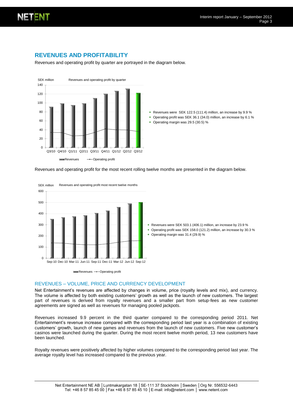

# **REVENUES AND PROFITABILITY**

Revenues and operating profit by quarter are portrayed in the diagram below.



- Revenues were SEK 122.5 (111.4) million, an increase by 9.9 %
- Operating profit was SEK 36.1 (34.0) million, an increase by 6.1 %
- Operating margin was 29.5 (30.5) %

Revenues and operating profit for the most recent rolling twelve months are presented in the diagram below.



#### REVENUES – VOLUME, PRICE AND CURRENCY DEVELOPMENT

Net Entertainment's revenues are affected by changes in volume, price (royalty levels and mix), and currency. The volume is affected by both existing customers' growth as well as the launch of new customers. The largest part of revenues is derived from royalty revenues and a smaller part from setup-fees as new customer agreements are signed as well as revenues for managing pooled jackpots.

Revenues increased 9.9 percent in the third quarter compared to the corresponding period 2011. Net Entertainment's revenue increase compared with the corresponding period last year is a combination of existing customers' growth, launch of new games and revenues from the launch of new customers. Five new customer's casinos were launched during the quarter. During the most recent twelve month period, 13 new customers have been launched.

Royalty revenues were positively affected by higher volumes compared to the corresponding period last year. The average royalty level has increased compared to the previous year.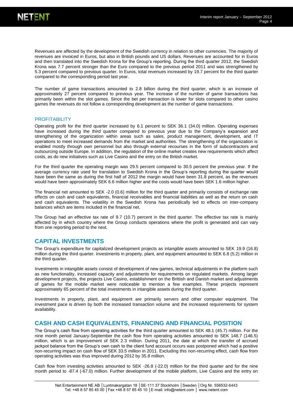Revenues are affected by the development of the Swedish currency in relation to other currencies. The majority of revenues are invoiced in Euros, but also in British pounds and US dollars. Revenues are accounted for in Euros and then translated into the Swedish Krona for the Group's reporting. During the third quarter 2012, the Swedish Krona was 7.7 percent stronger than the Euro compared to the previous period 2011 and was strengthened by 5.3 percent compared to previous quarter. In Euros, total revenues increased by 19.7 percent for the third quarter compared to the corresponding period last year.

The number of game transactions amounted to 2.8 billion during the third quarter, which is an increase of approximately 27 percent compared to previous year. The increase of the number of game transactions has primarily been within the slot games. Since the bet per transaction is lower for slots compared to other casino games the revenues do not follow a corresponding development as the number of game transactions.

#### **PROFITABILITY**

Operating profit for the third quarter increased by 6.1 percent to SEK 36.1 (34.0) million. Operating expenses have increased during the third quarter compared to previous year due to the Company's expansion and strengthening of the organization within areas such as sales, product management, development, and IT operations to meet increased demands from the market and authorities. The strengthening of the organization is enabled mostly through own personnel but also through external recourses in the form of subcontractors and outsourcing outside Europe. In addition, the regulation of the online market creates new requirements which affect costs, as do new initiatives such as Live Casino and the entry on the British market.

For the third quarter the operating margin was 29.5 percent compared to 30.5 percent the previous year. If the average currency rate used for translation to Swedish Krona in the Group's reporting during the quarter would have been the same as during the first half of 2012 the margin would have been 31.8 percent, as the revenues would have been approximately SEK 6.6 million higher and the costs would have been SEK 1.6 million higher.

The financial net amounted to SEK -2.0 (0.6) million for the third quarter and primarily consists of exchange rate effects on cash and cash equivalents, financial receivables and financial liabilities as well as the return on cash and cash equivalents. The volatility in the Swedish Krona has periodically led to effects on inter-company balances which are items included in the financial net.

The Group had an effective tax rate of 9.7 (10.7) percent in the third quarter. The effective tax rate is mainly affected by in which country where the Group conducts operations where the profit is generated and can vary from one reporting period to the next.

#### **CAPITAL INVESTMENTS**

The Group's expenditure for capitalized development projects as intangible assets amounted to SEK 19.9 (16.8) million during the third quarter. Investments in property, plant, and equipment amounted to SEK 6.8 (5.2) million in the third quarter.

Investments in intangible assets consist of development of new games, technical adjustments in the platform such as new functionality, increased capacity and adjustments for requirements on regulated markets. Among larger development projects, the projects Live Casino, establishment on the Brittish and Danish market and adjustments of games for the mobile market were noticeable to mention a few examples. These projects represent approximately 65 percent of the total investments in intangible assets during the third quarter.

Investments in property, plant, and equipment are primarily servers and other computer equipment. The investment pace is driven by both the increased transaction volume and the increased requirements for system availability.

#### **CASH AND CASH EQUIVALENTS, FINANCING AND FINANCIAL POSITION**

The Group's cash flow from operating activities for the third quarter amounted to SEK 48.1 (45.7) million. For the nine month period January-September the cash flow from operating activities amounted to SEK 148.7 (146.5) million, which is an improvement of SEK 2.3 million. During 2011, the date at which the transfer of accrued jackpot balance from the Group's own cash to the client fund account occurs was postponed which had a positive non-recurring impact on cash flow of SEK 33.5 million in 2011. Excluding this non-recurring effect, cash flow from operating activities was thus improved during 2012 by 35.8 million.

Cash flow from investing activities amounted to SEK -26.8 (-22.0) million for the third quarter and for the nine month period to -87.4 (-67.0) million. Further development of the mobile platform, Live Casino and the entry on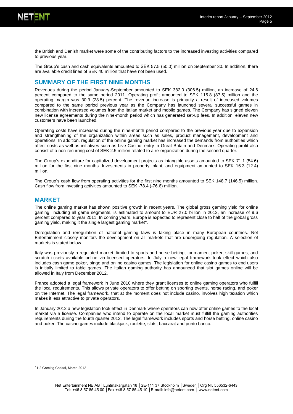

the British and Danish market were some of the contributing factors to the increased investing activities compared to previous year.

The Group's cash and cash equivalents amounted to SEK 57.5 (50.0) million on September 30. In addition, there are available credit lines of SEK 40 million that have not been used.

### **SUMMARY OF THE FIRST NINE MONTHS**

Revenues during the period January-September amounted to SEK 382.0 (306.5) million, an increase of 24.6 percent compared to the same period 2011. Operating profit amounted to SEK 115.8 (87.5) million and the operating margin was 30.3 (28.5) percent. The revenue increase is primarily a result of increased volumes compared to the same period previous year as the Company has launched several successful games in combination with increased volumes from the Italian market and mobile games. The Company has signed eleven new license agreements during the nine-month period which has generated set-up fees. In addition, eleven new customers have been launched.

Operating costs have increased during the nine-month period compared to the previous year due to expansion and strengthening of the organization within areas such as sales, product management, development and operations. In addition, regulation of the online gaming market has increased the demands from authorities which affect costs as well as initiatives such as Live Casino, entry in Great Britain and Denmark. Operating profit also consist of a non-recurring cost of SEK 2.5 million related to a re-organization during the second quarter.

The Group's expenditure for capitalized development projects as intangible assets amounted to SEK 71.1 (54.6) million for the first nine months. Investments in property, plant, and equipment amounted to SEK 16.3 (12.4) million.

The Group's cash flow from operating activities for the first nine months amounted to SEK 148.7 (146.5) million. Cash flow from investing activities amounted to SEK -78.4 (-76.6) million.

#### **MARKET**

The online gaming market has shown positive growth in recent years. The global gross gaming yield for online gaming, including all game segments, is estimated to amount to EUR 27.0 billion in 2012, an increase of 9.6 percent compared to year 2011. In coming years, Europe is expected to represent close to half of the global gross gaming yield, making it the single largest gaming market<sup>1</sup>.

Deregulation and reregulation of national gaming laws is taking place in many European countries. Net Entertainment closely monitors the development on all markets that are undergoing regulation. A selection of markets is stated below.

Italy was previously a regulated market, limited to sports and horse betting, tournament poker, skill games, and scratch tickets available online via licensed operators. In July a new legal framework took effect which also includes cash game poker, bingo and online casino games. The legislation for online casino games to end users is initially limited to table games. The Italian gaming authority has announced that slot games online will be allowed in Italy from December 2012.

France adopted a legal framework in June 2010 where they grant licenses to online gaming operators who fulfill the local requirements. This allows private operators to offer betting on sporting events, horse racing, and poker on the Internet. The legal framework, that at the moment does not include casino, involves high taxation which makes it less attractive to private operators.

In January 2012 a new legislation took effect in Denmark where operators can now offer online games to the local market via a license. Companies who intend to operate on the local market must fulfill the gaming authorities requirements during the fourth quarter 2012. The legal framework includes sports and horse betting, online casino and poker. The casino games include blackjack, roulette, slots, baccarat and punto banco.

l

<sup>1</sup> H2 Gaming Capital, March 2012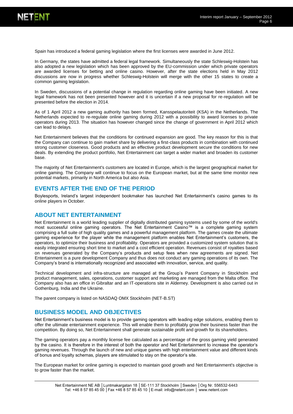

Spain has introduced a federal gaming legislation where the first licenses were awarded in June 2012.

In Germany, the states have admitted a federal legal framework. Simultaneously the state Schleswig-Holstein has also adopted a new legislation which has been approved by the EU-commission under which private operators are awarded licenses for betting and online casino. However, after the state elections held in May 2012 discussions are now in progress whether Schleswig-Holstein will merge with the other 15 states to create a common gaming legislation.

In Sweden, discussions of a potential change in regulation regarding online gaming have been initiated. A new legal framework has not been presented however and it is uncertain if a new proposal for re-regulation will be presented before the election in 2014.

As of 1 April 2012 a new gaming authority has been formed, Kansspelautoriteit (KSA) in the Netherlands. The Netherlands expected to re-regulate online gaming during 2012 with a possibility to award licenses to private operators during 2013. The situation has however changed since the change of government in April 2012 which can lead to delays.

Net Entertainment believes that the conditions for continued expansion are good. The key reason for this is that the Company can continue to gain market share by delivering a first-class products in combination with continued strong customer closeness. Good products and an effective product development secure the conditions for new deals. By extending the product portfolio, Net Entertainment can target a wider market and broaden its customer base.

The majority of Net Entertainment's customers are located in Europe, which is the largest geographical market for online gaming. The Company will continue to focus on the European market, but at the same time monitor new potential markets, primarily in North America but also Asia.

#### **EVENTS AFTER THE END OF THE PERIOD**

Boylesports, Ireland's largest independent bookmaker has launched Net Entertainment's casino games to its online players in October.

#### **ABOUT NET ENTERTAINMENT**

Net Entertainment is a world leading supplier of digitally distributed gaming systems used by some of the world's most successful online gaming operators. The Net Entertainment Casino™ is a complete gaming system comprising a full suite of high quality games and a powerful management platform. The games create the ultimate gaming experience for the player while the management platform enables Net Entertainment's customers, the operators, to optimize their business and profitability. Operators are provided a customized system solution that is easily integrated ensuring short time to market and a cost efficient operation. Revenues consist of royalties based on revenues generated by the Company's products and setup fees when new agreements are signed. Net Entertainment is a pure development Company and thus does not conduct any gaming operations of its own. The Company's brand is internationally recognized and associated with innovation, service, and quality.

Technical development and infra-structure are managed at the Group's Parent Company in Stockholm and product management, sales, operations, customer support and marketing are managed from the Malta office. The Company also has an office in Gibraltar and an IT-operations site in Alderney. Development is also carried out in Gothenburg, India and the Ukraine.

The parent company is listed on NASDAQ OMX Stockholm (NET-B.ST)

#### **BUSINESS MODEL AND OBJECTIVES**

Net Entertainment's business model is to provide gaming operators with leading edge solutions, enabling them to offer the ultimate entertainment experience. This will enable them to profitably grow their business faster than the competition. By doing so, Net Entertainment shall generate sustainable profit and growth for its shareholders.

The gaming operators pay a monthly license fee calculated as a percentage of the gross gaming yield generated by the casino. It is therefore in the interest of both the operator and Net Entertainment to increase the operator's gaming revenues. Through the launch of new and unique games with high entertainment value and different kinds of bonus and loyalty schemas, players are stimulated to stay on the operator's site.

The European market for online gaming is expected to maintain good growth and Net Entertainment's objective is to grow faster than the market.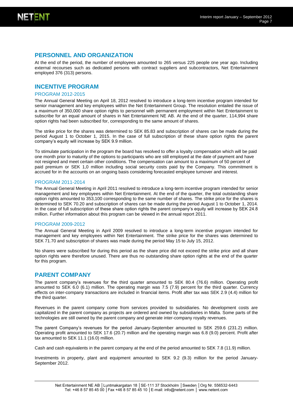

### **PERSONNEL AND ORGANIZATION**

At the end of the period, the number of employees amounted to 265 versus 225 people one year ago. Including external recourses such as dedicated persons with contract suppliers and subcontractors, Net Entertainment employed 376 (313) persons.

#### **INCENTIVE PROGRAM**

#### PROGRAM 2012-2015

The Annual General Meeting on April 18, 2012 resolved to introduce a long-term incentive program intended for senior management and key employees within the Net Entertainment Group. The resolution entailed the issue of a maximum of 350,000 share option rights to personnel with permanent employment within Net Entertainment to subscribe for an equal amount of shares in Net Entertainment NE AB. At the end of the quarter, 114,994 share option rights had been subscribed for, corresponding to the same amount of shares.

The strike price for the shares was determined to SEK 85.83 and subscription of shares can be made during the period August 1 to October 1, 2015. In the case of full subscription of these share option rights the parent company's equity will increase by SEK 9.9 million.

To stimulate participation in the program the board has resolved to offer a loyalty compensation which will be paid one month prior to maturity of the options to participants who are still employed at the date of payment and have not resigned and meet certain other conditions. The compensation can amount to a maximum of 50 percent of paid premium or SEK 1,0 million including social security costs paid by the Company. This commitment is accrued for in the accounts on an ongoing basis considering forecasted employee turnover and interest.

#### PROGRAM 2011-2014

The Annual General Meeting in April 2011 resolved to introduce a long-term incentive program intended for senior management and key employees within Net Entertainment. At the end of the quarter, the total outstanding share option rights amounted to 353,100 corresponding to the same number of shares. The strike price for the shares is determined to SEK 70.20 and subscription of shares can be made during the period August 1 to October 1, 2014. In the case of full subscription of these share option rights the parent company's equity will increase by SEK 24.8 million. Further information about this program can be viewed in the annual report 2011.

#### PROGRAM 2009-2012

The Annual General Meeting in April 2009 resolved to introduce a long-term incentive program intended for management and key employees within Net Entertainment. The strike price for the shares was determined to SEK 71.70 and subscription of shares was made during the period May 15 to July 15, 2012.

No shares were subscribed for during this period as the share price did not exceed the strike price and all share option rights were therefore unused. There are thus no outstanding share option rights at the end of the quarter for this program.

#### **PARENT COMPANY**

The parent company's revenues for the third quarter amounted to SEK 80.4 (76.6) million. Operating profit amounted to SEK 6.0 (6.1) million. The operating margin was 7.5 (7.9) percent for the third quarter. Currency effects on inter-company transactions are included in financial items. Profit after tax was SEK 2.9 (4.4) million for the third quarter.

Revenues in the parent company come from services provided to subsidiaries. No development costs are capitalized in the parent company as projects are ordered and owned by subsidiaries in Malta. Some parts of the technologies are still owned by the parent company and generate inter-company royalty revenues.

The parent Company's revenues for the period January-September amounted to SEK 259.6 (231.2) million. Operating profit amounted to SEK 17.6 (20.7) million and the operating margin was 6.8 (9.0) percent. Profit after tax amounted to SEK 11.1 (16.0) million.

Cash and cash equivalents in the parent company at the end of the period amounted to SEK 7.8 (11.9) million.

Investments in property, plant and equipment amounted to SEK 9.2 (9.3) million for the period January-September 2012.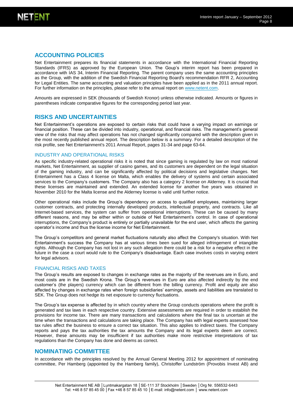

# **ACCOUNTING POLICIES**

Net Entertainment prepares its financial statements in accordance with the International Financial Reporting Standards (IFRS) as approved by the European Union. The Goup's interim report has been prepared in accordance with IAS 34, Interim Financial Reporting. The parent company uses the same accounting principles as the Group, with the addition of the Swedish Financial Reporting Board's recommendation RFR 2, Accounting for Legal Entities. The same accounting and valuation principles have been applied as in the 2011 annual report. For further information on the principles, please refer to the annual report on [www.netent.com.](http://www.netent.com/)

Amounts are expressed in SEK (thousands of Swedish Kronor) unless otherwise indicated. Amounts or figures in parentheses indicate comparative figures for the corresponding period last year.

#### **RISKS AND UNCERTAINTIES**

Net Entertainment's operations are exposed to certain risks that could have a varying impact on earnings or financial position. These can be divided into industry, operational, and financial risks. The management's general view of the risks that may affect operations has not changed significantly compared with the description given in the most recently published annual report. The description below is a summary. For a detailed description of the risk profile, see Net Entertainment's 2011 Annual Report, pages 31-34 and page 63-64.

#### INDUSTRY AND OPERATIONAL RISKS

As specific industry-related operational risks it is noted that since gaming is regulated by law on most national markets, Net Entertainment, as supplier of casino games, and its customers are dependent on the legal situation of the gaming industry, and can be significantly affected by political decisions and legislative changes. Net Entertainment has a Class 4 license on Malta, which enables the delivery of systems and certain associated services to the Company's customers. The Company also has a category 2 license on Alderney. It is crucial that these licenses are maintained and extended. An extended license for another five years was obtained in November 2010 for the Malta license and the Alderney license is valid until further notice.

Other operational risks include the Group's dependency on access to qualified employees, maintaining larger customer contracts, and protecting internally developed products, intellectual property, and contracts. Like all Internet-based services, the system can suffer from operational interruptions. These can be caused by many different reasons, and may be either within or outside of Net Entertainment's control. In case of operational interruptions, the Company's product is entirely or partially unavailable for the end user, which affects the gaming operator's income and thus the license income for Net Entertainment.

The Group's competitors and general market fluctuations naturally also affect the Company's situation. With Net Entertainment's success the Company has at various times been sued for alleged infringement of intangible rights. Although the Company has not lost in any such allegation there could be a risk for a negative effect in the future in the case a court would rule to the Company's disadvantage. Each case involves costs in varying extent for legal advisors.

#### FINANCIAL RISKS AND TAXES

The Group's results are exposed to changes in exchange rates as the majority of the revenues are in Euro, and most costs are in the Swedish Krona. The Group's revenues in Euro are also affected indirectly by the end customer's (the players) currency which can be different from the billing currency. Profit and equity are also affected by changes in exchange rates when foreign subsidiaries' earnings, assets and liabilities are translated to SEK. The Group does not hedge its net exposure to currency fluctuations.

The Group's tax expense is affected by in which country where the Group conducts operations where the profit is generated and tax laws in each respective country. Extensive assessments are required in order to establish the provisions for income tax. There are many transactions and calculations where the final tax is uncertain at the time when the transactions and calculations are taking place. The Company has with legal experts assessed how tax rules affect the business to ensure a correct tax situation. This also applies to indirect taxes. The Company reports and pays the tax authorities the tax amounts the Company and its legal experts deem are correct. However, these amounts may be insufficient if tax authorities make more restrictive interpretations of tax regulations than the Company has done and deems as correct.

#### **NOMINATING COMMITTEE**

In accordance with the principles resolved by the Annual General Meeting 2012 for appointment of nominating committee, Per Hamberg (appointed by the Hamberg family), Christoffer Lundström (Provobis Invest AB) and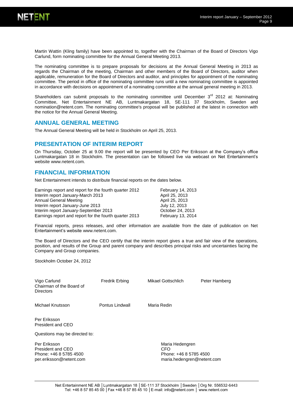

Martin Wattin (Kling family) have been appointed to, together with the Chairman of the Board of Directors Vigo Carlund, form nominating committee for the Annual General Meeting 2013.

The nominating committee is to prepare proposals for decisions at the Annual General Meeting in 2013 as regards the Chairman of the meeting, Chairman and other members of the Board of Directors, auditor when applicable, remuneration for the Board of Directors and auditor, and principles for appointment of the nominating committee. The period in office of the nominating committee runs until a new nominating committee is appointed in accordance with decisions on appointment of a nominating committee at the annual general meeting in 2013.

Shareholders can submit proposals to the nominating committee until December  $3<sup>rd</sup>$  2012 at: Nominating Committee, Net Entertainment NE AB, Luntmakargatan 18, SE-111 37 Stockholm, Sweden and nomination@netent.com. The nominating committee's proposal will be published at the latest in connection with the notice for the Annual General Meeting.

#### **ANNUAL GENERAL MEETING**

The Annual General Meeting will be held in Stockholm on April 25, 2013.

#### **PRESENTATION OF INTERIM REPORT**

On Thursday, October 25 at 9.00 the report will be presented by CEO Per Eriksson at the Company's office Luntmakargatan 18 in Stockholm. The presentation can be followed live via webcast on Net Entertainment's websit[e www.netent.com.](http://www.netent.com/)

#### **FINANCIAL INFORMATION**

Net Entertainment intends to distribute financial reports on the dates below.

| Earnings report and report for the fourth quarter 2012 | <b>February 14, 2013</b> |
|--------------------------------------------------------|--------------------------|
| Interim report January-March 2013                      | April 25, 2013           |
| Annual General Meeting                                 | April 25, 2013           |
| Interim report January-June 2013                       | July 12, 2013            |
| Interim report January-September 2013                  | October 24, 2013         |
| Earnings report and report for the fourth quarter 2013 | February 13, 2014        |

Financial reports, press releases, and other information are available from the date of publication on Net Entertainment's websit[e www.netent.com.](http://www.netent.com/) 

The Board of Directors and the CEO certify that the interim report gives a true and fair view of the operations, position, and results of the Group and parent company and describes principal risks and uncertainties facing the Company and Group companies.

Stockholm October 24, 2012

| Vigo Carlund<br>Chairman of the Board of<br><b>Directors</b>                           | Fredrik Erbing  | Mikael Gottschlich     | Peter Hamberg                                        |
|----------------------------------------------------------------------------------------|-----------------|------------------------|------------------------------------------------------|
| Michael Knutsson                                                                       | Pontus Lindwall | Maria Redin            |                                                      |
| Per Eriksson<br>President and CEO                                                      |                 |                        |                                                      |
| Questions may be directed to:                                                          |                 |                        |                                                      |
| Per Eriksson<br>President and CEO<br>Phone: +46 8 5785 4500<br>per.eriksson@netent.com |                 | Maria Hedengren<br>CFO | Phone: +46 8 5785 4500<br>maria.hedengren@netent.com |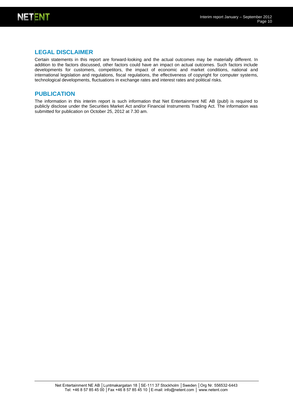

# **LEGAL DISCLAIMER**

Certain statements in this report are forward-looking and the actual outcomes may be materially different. In addition to the factors discussed, other factors could have an impact on actual outcomes. Such factors include developments for customers, competitors, the impact of economic and market conditions, national and international legislation and regulations, fiscal regulations, the effectiveness of copyright for computer systems, technological developments, fluctuations in exchange rates and interest rates and political risks.

#### **PUBLICATION**

The information in this interim report is such information that Net Entertainment NE AB (publ) is required to publicly disclose under the Securities Market Act and/or Financial Instruments Trading Act. The information was submitted for publication on October 25, 2012 at 7.30 am.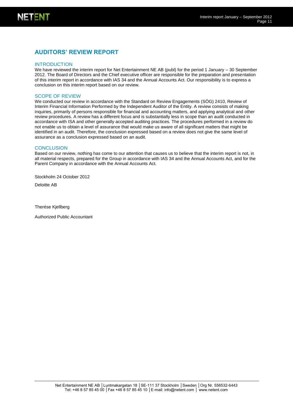# **AUDITORS' REVIEW REPORT**

#### INTRODUCTION

We have reviewed the interim report for Net Entertainment NE AB (publ) for the period 1 January – 30 September 2012. The Board of Directors and the Chief executive officer are responsible for the preparation and presentation of this interim report in accordance with IAS 34 and the Annual Accounts Act. Our responsibility is to express a conclusion on this interim report based on our review.

#### SCOPE OF REVIEW

We conducted our review in accordance with the Standard on Review Engagements (SÖG) 2410, Review of Interim Financial Information Performed by the Independent Auditor of the Entity. A review consists of making inquiries, primarily of persons responsible for financial and accounting matters, and applying analytical and other review procedures. A review has a different focus and is substantially less in scope than an audit conducted in accordance with ISA and other generally accepted auditing practices. The procedures performed in a review do not enable us to obtain a level of assurance that would make us aware of all significant matters that might be identified in an audit. Therefore, the conclusion expressed based on a review does not give the same level of assurance as a conclusion expressed based on an audit.

#### **CONCLUSION**

Based on our review, nothing has come to our attention that causes us to believe that the interim report is not, in all material respects, prepared for the Group in accordance with IAS 34 and the Annual Accounts Act, and for the Parent Company in accordance with the Annual Accounts Act.

Stockholm 24 October 2012

Deloitte AB

Therése Kjellberg

Authorized Public Accountant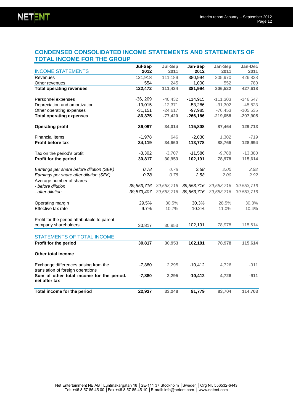# **CONDENSED CONSOLIDATED INCOME STATEMENTS AND STATEMENTS OF TOTAL INCOME FOR THE GROUP**

|                                                                            | Jul-Sep    | Jul-Sep      | Jan-Sep    | Jan-Sep      | Jan-Dec    |
|----------------------------------------------------------------------------|------------|--------------|------------|--------------|------------|
| <b>INCOME STATEMENTS</b>                                                   | 2012       | 2011         | 2012       | 2011         | 2011       |
| Revenues                                                                   | 121,918    | 111,189      | 380,994    | 305,970      | 426,838    |
| Other revenues                                                             | 554        | 245          | 1,000      | 552          | 780        |
| <b>Total operating revenues</b>                                            | 122,472    | 111,434      | 381,994    | 306,522      | 427,618    |
| Personnel expenses                                                         | $-36, 209$ | $-40,432$    | $-114,915$ | $-111,303$   | $-146,547$ |
| Depreciation and amortization                                              | $-19,015$  | $-12,371$    | $-53,286$  | $-31,302$    | $-45,823$  |
| Other operating expenses                                                   | $-31,151$  | $-24,617$    | $-97,985$  | $-76,453$    | $-105,535$ |
| <b>Total operating expenses</b>                                            | $-86,375$  | $-77,420$    | $-266,186$ | $-219,058$   | $-297,905$ |
| <b>Operating profit</b>                                                    | 36,097     | 34,014       | 115,808    | 87,464       | 129,713    |
| Financial items                                                            | $-1,978$   | 646          | $-2,030$   | 1,302        | -719       |
| Profit before tax                                                          | 34,119     | 34,660       | 113,778    | 88,766       | 128,994    |
| Tax on the period's profit                                                 | $-3,302$   | $-3,707$     | $-11,586$  | $-9,788$     | $-13,380$  |
| Profit for the period                                                      | 30,817     | 30,953       | 102,191    | 78,978       | 115,614    |
| Earnings per share before dilution (SEK)                                   | 0.78       | 0.78         | 2.58       | 2.00         | 2.92       |
| Earnings per share after dilution (SEK)                                    | 0.78       | 0.78         | 2.58       | 2.00         | 2.92       |
| Average number of shares                                                   |            |              |            |              |            |
| - before dilution                                                          | 39,553,716 | 39, 553, 716 | 39,553,716 | 39,553,716   | 39,553,716 |
| - after dilution                                                           | 39,573,407 | 39,553,716   | 39,553,716 | 39, 553, 716 | 39,553,716 |
| Operating margin                                                           | 29.5%      | 30.5%        | 30.3%      | 28.5%        | 30.3%      |
| Effective tax rate                                                         | 9.7%       | 10.7%        | 10.2%      | 11.0%        | 10.4%      |
| Profit for the period attributable to parent                               |            |              |            |              |            |
| company shareholders                                                       | 30,817     | 30,953       | 102,191    | 78,978       | 115,614    |
| <b>STATEMENTS OF TOTAL INCOME</b>                                          |            |              |            |              |            |
| Profit for the period                                                      | 30,817     | 30,953       | 102,191    | 78,978       | 115,614    |
|                                                                            |            |              |            |              |            |
| <b>Other total income</b>                                                  |            |              |            |              |            |
| Exchange differences arising from the<br>translation of foreign operations | $-7,880$   | 2,295        | $-10,412$  | 4,726        | $-911$     |
| Sum of other total income for the period.<br>net after tax                 | $-7,880$   | 2,295        | $-10,412$  | 4,726        | $-911$     |
| Total income for the period                                                | 22,937     | 33,248       | 91,779     | 83,704       | 114,703    |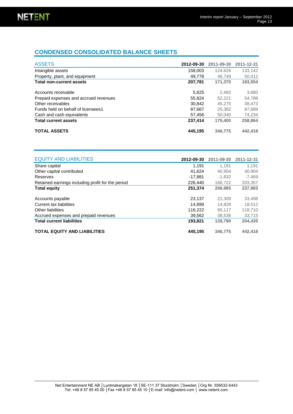# **CONDENSED CONSOLIDATED BALANCE SHEETS**

| <b>ASSETS</b>                         | 2012-09-30 | 2011-09-30 | 2011-12-31 |
|---------------------------------------|------------|------------|------------|
| Intangible assets                     | 158,003    | 124.626    | 133,142    |
| Property, plant, and equipment        | 49.778     | 46.749     | 50,412     |
| <b>Total non-current assets</b>       | 207.781    | 171.375    | 183,554    |
| Accounts receivable                   | 5.625      | 2.482      | 3.680      |
| Prepaid expenses and accrued revenues | 55.824     | 52.221     | 54.788     |
| Other receivables                     | 30.842     | 45.275     | 38.473     |
| Funds held on behalf of licensees1    | 87.667     | 25,382     | 87,689     |
| Cash and cash equivalents             | 57.456     | 50,040     | 74.234     |
| <b>Total current assets</b>           | 237,414    | 175.400    | 258,864    |
| <b>TOTAL ASSETS</b>                   | 445.195    | 346,775    | 442.418    |

| <b>EQUITY AND LIABILITIES</b>                     | 2012-09-30 | 2011-09-30 | 2011-12-31 |
|---------------------------------------------------|------------|------------|------------|
| Share capital                                     | 1.191      | 1.191      | 1.191      |
| Other capital contributed                         | 41.624     | 40.904     | 40.904     |
| Reserves                                          | $-17.881$  | $-1.832$   | $-7.469$   |
| Retained earnings including profit for the period | 226.440    | 166.722    | 203,357    |
| <b>Total equity</b>                               | 251,374    | 206,985    | 237,983    |
| Accounts payable                                  | 23.137     | 21,309     | 33,498     |
| Current tax liabilities                           | 14.899     | 14.828     | 18.512     |
| Other liabilities                                 | 116,222    | 65,117     | 118,710    |
| Accrued expenses and prepaid revenues             | 39.562     | 38,536     | 33.715     |
| <b>Total current liabilities</b>                  | 193.821    | 139.790    | 204.435    |
| <b>TOTAL EQUITY AND LIABILITIES</b>               | 445.195    | 346,775    | 442.418    |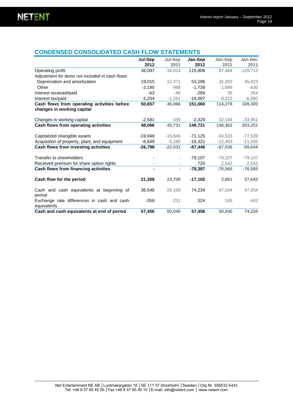# **CONDENSED CONSOLIDATED CASH FLOW STATEMENTS**

|                                                                           | Jul-Sep<br>2012 | <b>Jul-Sep</b><br>2011   | Jan-Sep<br>2012 | Jan-Sep<br>2011 | Jan-Dec<br>2011 |
|---------------------------------------------------------------------------|-----------------|--------------------------|-----------------|-----------------|-----------------|
| Operating profit                                                          | 36,097          | 34,014                   | 115,808         | 87,464          | 129,713         |
| Adjustment for items not included in cash flows:                          |                 |                          |                 |                 |                 |
| Depreciation and amortization                                             | 19,015          | 12,371                   | 53,286          | 31,302          | 45,823          |
| Other                                                                     | $-2.190$        | 988                      | $-1.739$        | 1.699           | $-430$          |
| Interest received/paid                                                    | -63             | $-46$                    | $-289$          | 35              | 254             |
| Interest tax/paid                                                         | $-2,204$        | $-1,261$                 | $-16,007$       | $-6,222$        | $-6,060$        |
| Cash flows from operating activities before<br>changes in working capital | 50,657          | 46,066                   | 151,060         | 114,278         | 169,300         |
| Changes in working capital                                                | $-2,591$        | $-335$                   | $-2,329$        | 32,184          | ,33,951         |
| Cash flows from operating activities                                      | 48,066          | 45,731                   | 148.731         | 146.462         | 203,251         |
| Capitalized intangible assets                                             | $-19,948$       | $-16,846$                | $-71,125$       | $-54,633$       | $-77,539$       |
| Acquisition of property, plant, and equipment                             | $-6,849$        | $-5,185$                 | $-16,321$       | $-12,403$       | $-21,505$       |
| Cash flows from investing activities                                      | $-26,798$       | $-22,031$                | $-87.446$       | $-67.036$       | $-99,044$       |
| Transfer to shareholders                                                  |                 | $\overline{\phantom{a}}$ | $-79,107$       | $-79,107$       | $-79,107$       |
| Received premium for share option rights                                  |                 |                          | 720             | 2,542           | 2,542           |
| Cash flows from financing activities                                      |                 | $\overline{\phantom{a}}$ | $-78,387$       | $-76,565$       | $-76,565$       |
| Cash flow for the period                                                  | 21,268          | 23,700                   | $-17,102$       | 2,861           | 27,642          |
| Cash and cash equivalents at beginning of<br>period                       | 36,546          | 26,109                   | 74.234          | 47.034          | 47.034          |
| Exchange rate differences in cash and cash<br>equivalents                 | $-358$          | 231                      | 324             | 145             | $-442$          |
| Cash and cash equivalents at end of period                                | 57,456          | 50,040                   | 57,456          | 50,040          | 74,234          |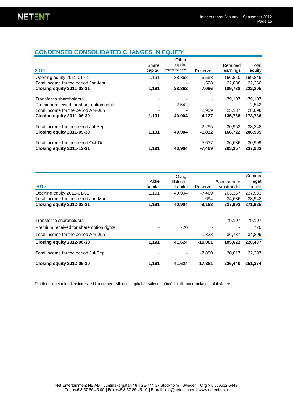# **CONDENSED CONSOLIDATED CHANGES IN EQUITY**

|                                          |         | Other       |          |           |           |
|------------------------------------------|---------|-------------|----------|-----------|-----------|
|                                          | Share   | capital     |          | Retained  | Total     |
| 2011                                     | capital | contributed | Reserves | earnings  | equity    |
| Opening equity 2011-01-01                | 1,191   | 38,362      | $-6,558$ | 166.850   | 199,845   |
| Total income for the period Jan-Mar      |         |             | -528     | 22,888    | 22,360    |
| Closing equity 2011-03-31                | 1,191   | 38,362      | $-7,086$ | 189,738   | 222,205   |
| Transfer to shareholders                 |         |             |          | $-79.107$ | $-79,107$ |
| Premium received for share option rights |         | 2,542       |          |           | 2,542     |
| Total income for the period Apr-Jun      |         |             | 2,959    | 25,137    | 28,096    |
| Closing equity 2011-06-30                | 1,191   | 40,904      | $-4,127$ | 135,768   | 173,736   |
| Total income for the period Jul-Sep      |         |             | 2,295    | 30.953    | 33,248    |
| Closing equity 2011-09-30                | 1,191   | 40,904      | $-1,832$ | 166,722   | 206,985   |
| Total income for the period Oct-Dec      |         |             | $-5,637$ | 36,636    | 30,999    |
| Closing equity 2011-12-31                | 1,191   | 40,904      | $-7,469$ | 203,357   | 237,983   |

|                                          |         | Övrigt      |           |                    | Summa     |
|------------------------------------------|---------|-------------|-----------|--------------------|-----------|
|                                          | Aktie   | tillskjutet |           | <b>Balanserade</b> | eget      |
| 2012                                     | kapital | kapital     | Reserver  | vinstmedel         | kapital   |
| Opening equity 2012-01-01                | 1,191   | 40.904      | $-7,469$  | 203,357            | 237,983   |
| Total income for the period Jan-Mar      |         |             | $-694$    | 34.636             | 33,942    |
| Closing equity 2012-03-31                | 1,191   | 40,904      | $-8,163$  | 237,993            | 271,925   |
|                                          |         |             |           |                    |           |
| Transfer to shareholders                 |         |             |           | $-79.107$          | $-79,107$ |
| Premium received for share option rights |         | 720         |           |                    | 720       |
| Total income for the period Apr-Jun      |         |             | $-1.838$  | 36.737             | 34,899    |
| Closing equity 2012-06-30                | 1,191   | 41,624      | $-10,001$ | 195,622            | 228,437   |
| Total income for the period Jul-Sep      |         |             | $-7,880$  | 30.817             | 22,397    |
| Closing equity 2012-09-30                | 1,191   | 41,624      | $-17,881$ | 226,440            | 251.374   |

Det finns inget minoritetsintresse i koncernen. Allt eget kapital är således hänförligt till moderbolagets aktieägare.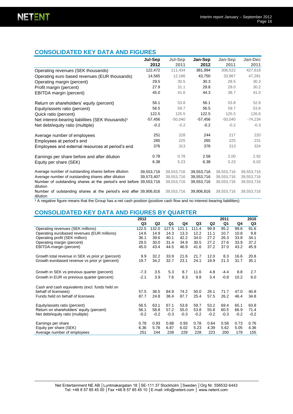# **CONSOLIDATED KEY DATA AND FIGURES**

|                                                                                | <b>Jul-Sep</b><br>2012 | Jul-Sep<br>2011 | Jan-Sep<br>2012 | Jan-Sep<br>2011 | Jan-Dec<br>2011 |
|--------------------------------------------------------------------------------|------------------------|-----------------|-----------------|-----------------|-----------------|
| Operating revenues (SEK thousands)                                             | 122,472                | 111,434         | 381,994         | 306,522         | 427,618         |
| Operating euro based revenues (EUR thousands)                                  | 14,565                 | 12,166          | 43,750          | 33,967          | 47,281          |
| Operating margin (percent)                                                     | 29.5                   | 30.5            | 30.3            | 28.5            | 30.3            |
| Profit margin (percent)                                                        | 27.9                   | 31.1            | 29.8            | 29.0            | 30.2            |
| EBITDA margin (percent)                                                        | 45.0                   | 41.6            | 44.3            | 38.7            | 41.0            |
| Return on shareholders' equity (percent)                                       | 56.1                   | 53.8            | 56.1            | 53.8            | 52.8            |
| Equity/assets ratio (percent)                                                  | 56.5                   | 59.7            | 56.5            | 59.7            | 53.8            |
| Quick ratio (percent)                                                          | 122.5                  | 125.5           | 122.5           | 125.5           | 126.6           |
| Net interest-bearing liabilities (SEK thousands) <sup>1</sup>                  | $-57,456$              | $-50,040$       | $-57,456$       | $-50,040$       | $-74,234$       |
| Net debt/equity ratio (multiple)                                               | $-0.2$                 | $-0.2$          | $-0.2$          | $-0.2$          | $-0.3$          |
| Average number of employees                                                    | 251                    | 228             | 244             | 217             | 220             |
| Employees at period's end                                                      | 265                    | 225             | 265             | 225             | 231             |
| Employees and external resources at period's end                               | 376                    | 313             | 376             | 313             | 324             |
| Earnings per share before and after dilution                                   | 0.78                   | 0.78            | 2.58            | 2.00            | 2.92            |
| Equity per share (SEK)                                                         | 6.38                   | 5.23            | 6.38            | 5.23            | 6.02            |
| Average number of outstanding shares before dilution                           | 39.553.716             | 39.553.716      | 39,553,716      | 39,553,716      | 39,553,716      |
| Average number of outstanding shares after dilution                            | 39,573,407             | 39,553,716      | 39,553,716      | 39,553,716      | 39,553,716      |
| Number of outstanding shares at the period's end before 39,553,716<br>dilution |                        | 39,553,716      | 39,553,716      | 39,553,716      | 39,553,716      |
| Number of outstanding shares at the period's end after 39,906,816<br>dilution  |                        | 39,553,716      | 39,906,816      | 39,553,716      | 39,553,716      |

<sup>1</sup> A negative figure means that the Group has a net cash position (positive cash flow and no interest-bearing liabilities)

# **CONSOLIDATED KEY DATA AND FIGURES BY QUARTER**

|                                                   | 2012           |                |        |        |        |                | 2011   |        | 2010           |
|---------------------------------------------------|----------------|----------------|--------|--------|--------|----------------|--------|--------|----------------|
|                                                   | Q <sub>3</sub> | Q <sub>2</sub> | Q1     | Q4     | Q3     | Q <sub>2</sub> | Q1     | Q4     | Q <sub>3</sub> |
| Operating revenues (SEK millions)                 | 122.5          | 132.0          | 127.5  | 121.1  | 111.4  | 99.9           | 95.2   | 99.6   | 91.6           |
| Operating eurobased revenues (EUR millions)       | 14.6           | 14.9           | 14.3   | 13.3   | 12.2   | 11.1           | 10.7   | 10.8   | 9.8            |
| Operating profit (SEK million)                    | 36.1           | 39.6           | 40.1   | 42.2   | 34.0   | 27.2           | 26.3   | 33.8   | 34.1           |
| Operating margin (percent)                        | 29.5           | 30.0           | 31.4   | 34.9   | 30.5   | 27.2           | 27.6   | 33.9   | 37.2           |
| EBITDA-margin (percent)                           | 45.0           | 43.4           | 44.5   | 46.9   | 41.6   | 37.2           | 37.0   | 43.2   | 45.9           |
| Growth total revenue in SEK vs prior yr (percent) | 9.9            | 32.2           | 33.9   | 21.6   | 21.7   | 12.0           | 8.3    | 16.6   | 20.8           |
| Growth eurobased revenue vs prior yr (percent)    | 19.7           | 34.2           | 32.7   | 23.1   | 24.1   | 19.9           | 21.3   | 31.7   | 35.1           |
| Growth in SEK vs previous quarter (percent)       | $-7.3$         | 3.5            | 5.3    | 8.7    | 11.6   | 4.8            | $-4.4$ | 8.8    | 2.7            |
| Growth in EUR vs previous quarter (percent)       | $-2.1$         | 3.9            | 7.6    | 9.3    | 9.8    | 3.4            | $-0.8$ | 10.2   | 6.0            |
| Cash and cash equivalents (excl. funds held on    |                |                |        |        |        |                |        |        |                |
| behalf of licensees)                              | 57.5           | 36.5           | 84.9   | 74.2   | 50.0   | 26.1           | 71.7   | 47.0   | 40.8           |
| Funds held on behalf of licensees                 | 87.7           | 24.8           | 36.4   | 87.7   | 25.4   | 57.5           | 26.2   | 46.4   | 34.8           |
| Equity/assets ratio (percent)                     | 56.5           | 63.1           | 67.1   | 53.8   | 59.7   | 53.2           | 69.4   | 65.1   | 63.8           |
| Return on shareholders' equity (percent)          | 56.1           | 58.8           | 57.2   | 55.0   | 53.8   | 55.8           | 60.5   | 66.9   | 71.4           |
| Net debt/equity ratio (multiple)                  | $-0.2$         | $-0.2$         | $-0.3$ | $-0.3$ | $-0.2$ | $-0.2$         | $-0.3$ | $-0.2$ | $-0.2$         |
| Earnings per share                                | 0.78           | 0.93           | 0.88   | 0.93   | 0.78   | 0.64           | 0.58   | 0.73   | 0.76           |
| Equity per share (SEK)                            | 6.36           | 5.78           | 6.87   | 6.02   | 5.23   | 4.39           | 5.62   | 5.05   | 4.36           |
| Average number of employees                       | 251            | 244            | 239    | 229    | 228    | 223            | 200    | 179    | 155            |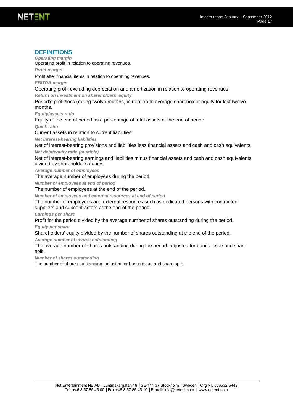#### Interim report January – September 2012 Page 17

#### **DEFINITIONS**

*Operating margin*

Operating profit in relation to operating revenues.

*Profit margin*

Profit after financial items in relation to operating revenues.

*EBITDA-margin*

Operating profit excluding depreciation and amortization in relation to operating revenues.

*Return on investment on shareholders' equity* 

Period's profit/loss (rolling twelve months) in relation to average shareholder equity for last twelve months.

*Equity/assets ratio*

Equity at the end of period as a percentage of total assets at the end of period.

*Quick ratio*

Current assets in relation to current liabilities.

*Net interest-bearing liabilities*

Net of interest-bearing provisions and liabilities less financial assets and cash and cash equivalents. *Net debt/equity ratio (multiple)*

Net of interest-bearing earnings and liabilities minus financial assets and cash and cash equivalents divided by shareholder's equity.

*Average number of employees*

The average number of employees during the period.

*Number of employees at end of period*

The number of employees at the end of the period.

*Number of employees and external resources at end of period*

The number of employees and external resources such as dedicated persons with contracted suppliers and subcontractors at the end of the period.

*Earnings per share*

Profit for the period divided by the average number of shares outstanding during the period.

*Equity per share*

Shareholders' equity divided by the number of shares outstanding at the end of the period.

*Average number of shares outstanding*

The average number of shares outstanding during the period. adjusted for bonus issue and share split.

*Number of shares outstanding*

The number of shares outstanding. adjusted for bonus issue and share split.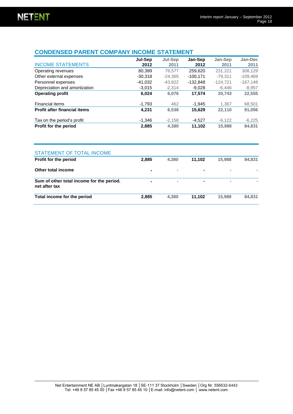# **CONDENSED PARENT COMPANY INCOME STATEMENT**

| <b>INCOME STATEMENTS</b>            | Jul-Sep<br>2012 | Jul-Sep<br>2011 | Jan-Sep<br>2012 | Jan-Sep<br>2011 | Jan-Dec<br>2011 |
|-------------------------------------|-----------------|-----------------|-----------------|-----------------|-----------------|
| Operating revenues                  | 80,389          | 76.577          | 259,620         | 231,221         | 308,129         |
| Other external expenses             | $-30.318$       | $-24.365$       | $-100.171$      | $-79.311$       | $-109,469$      |
| Personnel expenses                  | -41.032         | $-43.822$       | $-132,848$      | $-124.721$      | $-167,148$      |
| Depreciation and amortization       | $-3.015$        | $-2.314$        | $-9.028$        | $-6,446$        | $-8,957$        |
| <b>Operating profit</b>             | 6,024           | 6,076           | 17,574          | 20,743          | 22,555          |
| Financial items                     | $-1,793$        | 462             | $-1.945$        | 1.367           | 68,501          |
| <b>Profit after financial items</b> | 4,231           | 6,538           | 15,629          | 22,110          | 91,056          |
| Tax on the period's profit          | $-1.346$        | $-2.158$        | $-4.527$        | $-6,122$        | $-6,225$        |
| <b>Profit for the period</b>        | 2,885           | 4,380           | 11,102          | 15,988          | 84,831          |

| STATEMENT OF TOTAL INCOME                                  |                |                |        |                |        |
|------------------------------------------------------------|----------------|----------------|--------|----------------|--------|
| <b>Profit for the period</b>                               | 2,885          | 4.380          | 11.102 | 15,988         | 84,831 |
| Other total income                                         |                | $\sim$         | ۰      | $\sim$         | $\sim$ |
| Sum of other total income for the period.<br>net after tax | $\blacksquare$ | $\blacksquare$ | ۰      | $\blacksquare$ |        |
| Total income for the period                                | 2,885          | 4,380          | 11.102 | 15,988         | 84,831 |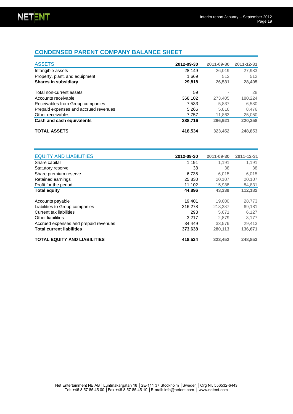# **CONDENSED PARENT COMPANY BALANCE SHEET**

| <b>ASSETS</b>                         | 2012-09-30 | 2011-09-30 | 2011-12-31 |
|---------------------------------------|------------|------------|------------|
| Intangible assets                     | 28,149     | 26,019     | 27,983     |
| Property, plant, and equipment        | 1,669      | 512        | 512        |
| <b>Shares in subsidiary</b>           | 29,818     | 26,531     | 28,495     |
| Total non-current assets              | 59         |            | 28         |
| Accounts receivable                   | 368,102    | 273,405    | 180,224    |
| Receivables from Group companies      | 7.533      | 5.837      | 6.580      |
| Prepaid expenses and accrued revenues | 5.266      | 5.816      | 8.476      |
| Other receivables                     | 7.757      | 11.863     | 25,050     |
| Cash and cash equivalents             | 388,716    | 296.921    | 220,358    |
| <b>TOTAL ASSETS</b>                   | 418,534    | 323.452    | 248,853    |

| <b>EQUITY AND LIABILITIES</b>         | 2012-09-30 | 2011-09-30 | 2011-12-31 |
|---------------------------------------|------------|------------|------------|
| Share capital                         | 1,191      | 1,191      | 1.191      |
| Statutory reserve                     | 38         | 38         | 38         |
| Share premium reserve                 | 6,735      | 6.015      | 6,015      |
| Retained earnings                     | 25,830     | 20,107     | 20,107     |
| Profit for the period                 | 11,102     | 15,988     | 84,831     |
| <b>Total equity</b>                   | 44,896     | 43,339     | 112,182    |
| Accounts payable                      | 19,401     | 19,600     | 28,773     |
| Liabilities to Group companies        | 316,278    | 218.387    | 69,181     |
| Current tax liabilities               | 293        | 5.671      | 6,127      |
| Other liabilities                     | 3,217      | 2.879      | 3,177      |
| Accrued expenses and prepaid revenues | 34.449     | 33,576     | 29,413     |
| <b>Total current liabilities</b>      | 373,638    | 280.113    | 136,671    |
| <b>TOTAL EQUITY AND LIABILITIES</b>   | 418,534    | 323,452    | 248,853    |